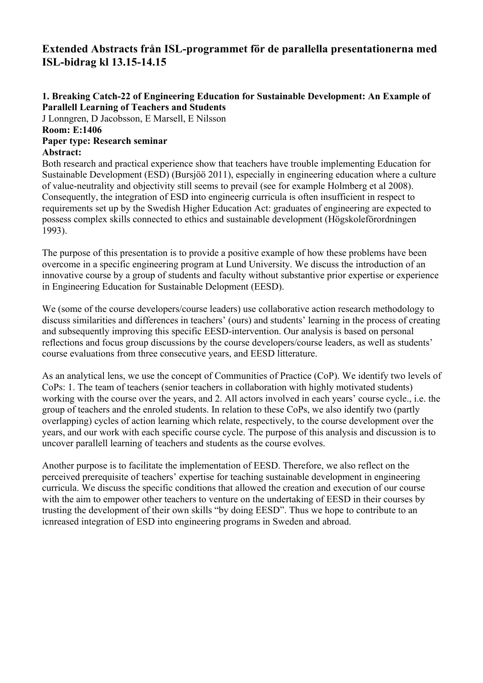# **Extended Abstracts från ISL-programmet för de parallella presentationerna med ISL-bidrag kl 13.15-14.15**

### **1. Breaking Catch-22 of Engineering Education for Sustainable Development: An Example of Parallell Learning of Teachers and Students**

J Lonngren, D Jacobsson, E Marsell, E Nilsson **Room: E:1406**

### **Paper type: Research seminar Abstract:**

Both research and practical experience show that teachers have trouble implementing Education for Sustainable Development (ESD) (Bursjöö 2011), especially in engineering education where a culture of value-neutrality and objectivity still seems to prevail (see for example Holmberg et al 2008). Consequently, the integration of ESD into engineerig curricula is often insufficient in respect to requirements set up by the Swedish Higher Education Act: graduates of engineering are expected to possess complex skills connected to ethics and sustainable development (Högskoleförordningen 1993).

The purpose of this presentation is to provide a positive example of how these problems have been overcome in a specific engineering program at Lund University. We discuss the introduction of an innovative course by a group of students and faculty without substantive prior expertise or experience in Engineering Education for Sustainable Delopment (EESD).

We (some of the course developers/course leaders) use collaborative action research methodology to discuss similarities and differences in teachers' (ours) and students' learning in the process of creating and subsequently improving this specific EESD-intervention. Our analysis is based on personal reflections and focus group discussions by the course developers/course leaders, as well as students' course evaluations from three consecutive years, and EESD litterature.

As an analytical lens, we use the concept of Communities of Practice (CoP). We identify two levels of CoPs: 1. The team of teachers (senior teachers in collaboration with highly motivated students) working with the course over the years, and 2. All actors involved in each years' course cycle., i.e. the group of teachers and the enroled students. In relation to these CoPs, we also identify two (partly overlapping) cycles of action learning which relate, respectively, to the course development over the years, and our work with each specific course cycle. The purpose of this analysis and discussion is to uncover parallell learning of teachers and students as the course evolves.

Another purpose is to facilitate the implementation of EESD. Therefore, we also reflect on the perceived prerequisite of teachers' expertise for teaching sustainable development in engineering curricula. We discuss the specific conditions that allowed the creation and execution of our course with the aim to empower other teachers to venture on the undertaking of EESD in their courses by trusting the development of their own skills "by doing EESD". Thus we hope to contribute to an icnreased integration of ESD into engineering programs in Sweden and abroad.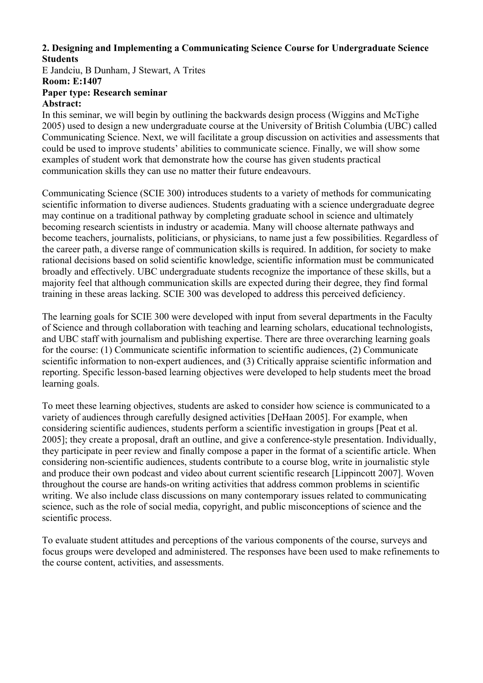### **2. Designing and Implementing a Communicating Science Course for Undergraduate Science Students**

E Jandciu, B Dunham, J Stewart, A Trites **Room: E:1407**

#### **Paper type: Research seminar Abstract:**

In this seminar, we will begin by outlining the backwards design process (Wiggins and McTighe 2005) used to design a new undergraduate course at the University of British Columbia (UBC) called Communicating Science. Next, we will facilitate a group discussion on activities and assessments that could be used to improve students' abilities to communicate science. Finally, we will show some examples of student work that demonstrate how the course has given students practical communication skills they can use no matter their future endeavours.

Communicating Science (SCIE 300) introduces students to a variety of methods for communicating scientific information to diverse audiences. Students graduating with a science undergraduate degree may continue on a traditional pathway by completing graduate school in science and ultimately becoming research scientists in industry or academia. Many will choose alternate pathways and become teachers, journalists, politicians, or physicians, to name just a few possibilities. Regardless of the career path, a diverse range of communication skills is required. In addition, for society to make rational decisions based on solid scientific knowledge, scientific information must be communicated broadly and effectively. UBC undergraduate students recognize the importance of these skills, but a majority feel that although communication skills are expected during their degree, they find formal training in these areas lacking. SCIE 300 was developed to address this perceived deficiency.

The learning goals for SCIE 300 were developed with input from several departments in the Faculty of Science and through collaboration with teaching and learning scholars, educational technologists, and UBC staff with journalism and publishing expertise. There are three overarching learning goals for the course: (1) Communicate scientific information to scientific audiences, (2) Communicate scientific information to non-expert audiences, and (3) Critically appraise scientific information and reporting. Specific lesson-based learning objectives were developed to help students meet the broad learning goals.

To meet these learning objectives, students are asked to consider how science is communicated to a variety of audiences through carefully designed activities [DeHaan 2005]. For example, when considering scientific audiences, students perform a scientific investigation in groups [Peat et al. 2005]; they create a proposal, draft an outline, and give a conference-style presentation. Individually, they participate in peer review and finally compose a paper in the format of a scientific article. When considering non-scientific audiences, students contribute to a course blog, write in journalistic style and produce their own podcast and video about current scientific research [Lippincott 2007]. Woven throughout the course are hands-on writing activities that address common problems in scientific writing. We also include class discussions on many contemporary issues related to communicating science, such as the role of social media, copyright, and public misconceptions of science and the scientific process.

To evaluate student attitudes and perceptions of the various components of the course, surveys and focus groups were developed and administered. The responses have been used to make refinements to the course content, activities, and assessments.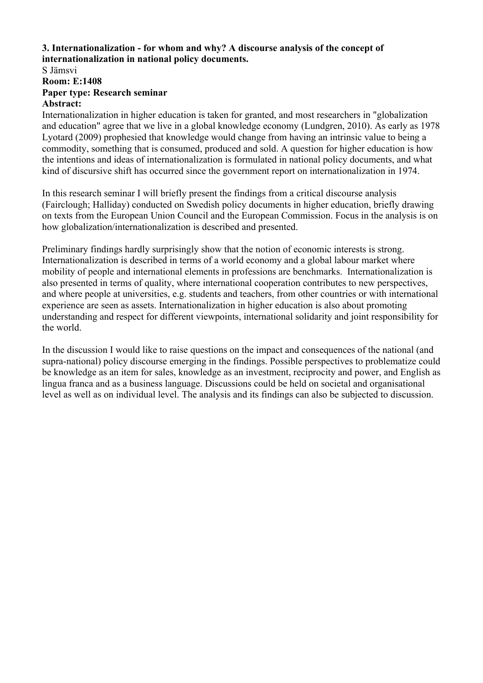### **3. Internationalization - for whom and why? A discourse analysis of the concept of internationalization in national policy documents.**

# S Jämsvi **Room: E:1408 Paper type: Research seminar**

# **Abstract:**

Internationalization in higher education is taken for granted, and most researchers in "globalization and education" agree that we live in a global knowledge economy (Lundgren, 2010). As early as 1978 Lyotard (2009) prophesied that knowledge would change from having an intrinsic value to being a commodity, something that is consumed, produced and sold. A question for higher education is how the intentions and ideas of internationalization is formulated in national policy documents, and what kind of discursive shift has occurred since the government report on internationalization in 1974.

In this research seminar I will briefly present the findings from a critical discourse analysis (Fairclough; Halliday) conducted on Swedish policy documents in higher education, briefly drawing on texts from the European Union Council and the European Commission. Focus in the analysis is on how globalization/internationalization is described and presented.

Preliminary findings hardly surprisingly show that the notion of economic interests is strong. Internationalization is described in terms of a world economy and a global labour market where mobility of people and international elements in professions are benchmarks. Internationalization is also presented in terms of quality, where international cooperation contributes to new perspectives, and where people at universities, e.g. students and teachers, from other countries or with international experience are seen as assets. Internationalization in higher education is also about promoting understanding and respect for different viewpoints, international solidarity and joint responsibility for the world.

In the discussion I would like to raise questions on the impact and consequences of the national (and supra-national) policy discourse emerging in the findings. Possible perspectives to problematize could be knowledge as an item for sales, knowledge as an investment, reciprocity and power, and English as lingua franca and as a business language. Discussions could be held on societal and organisational level as well as on individual level. The analysis and its findings can also be subjected to discussion.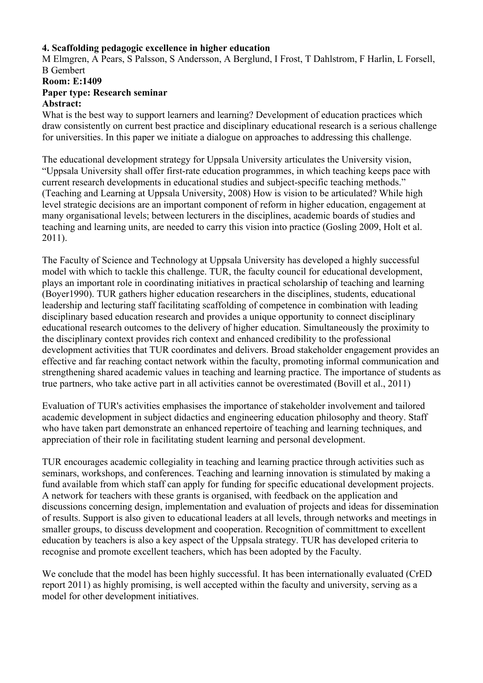### **4. Scaffolding pedagogic excellence in higher education**

M Elmgren, A Pears, S Palsson, S Andersson, A Berglund, I Frost, T Dahlstrom, F Harlin, L Forsell, B Gembert **Room: E:1409 Paper type: Research seminar**

# **Abstract:**

What is the best way to support learners and learning? Development of education practices which draw consistently on current best practice and disciplinary educational research is a serious challenge for universities. In this paper we initiate a dialogue on approaches to addressing this challenge.

The educational development strategy for Uppsala University articulates the University vision, "Uppsala University shall offer first-rate education programmes, in which teaching keeps pace with current research developments in educational studies and subject-specific teaching methods." (Teaching and Learning at Uppsala University, 2008) How is vision to be articulated? While high level strategic decisions are an important component of reform in higher education, engagement at many organisational levels; between lecturers in the disciplines, academic boards of studies and teaching and learning units, are needed to carry this vision into practice (Gosling 2009, Holt et al. 2011).

The Faculty of Science and Technology at Uppsala University has developed a highly successful model with which to tackle this challenge. TUR, the faculty council for educational development, plays an important role in coordinating initiatives in practical scholarship of teaching and learning (Boyer1990). TUR gathers higher education researchers in the disciplines, students, educational leadership and lecturing staff facilitating scaffolding of competence in combination with leading disciplinary based education research and provides a unique opportunity to connect disciplinary educational research outcomes to the delivery of higher education. Simultaneously the proximity to the disciplinary context provides rich context and enhanced credibility to the professional development activities that TUR coordinates and delivers. Broad stakeholder engagement provides an effective and far reaching contact network within the faculty, promoting informal communication and strengthening shared academic values in teaching and learning practice. The importance of students as true partners, who take active part in all activities cannot be overestimated (Bovill et al., 2011)

Evaluation of TUR's activities emphasises the importance of stakeholder involvement and tailored academic development in subject didactics and engineering education philosophy and theory. Staff who have taken part demonstrate an enhanced repertoire of teaching and learning techniques, and appreciation of their role in facilitating student learning and personal development.

TUR encourages academic collegiality in teaching and learning practice through activities such as seminars, workshops, and conferences. Teaching and learning innovation is stimulated by making a fund available from which staff can apply for funding for specific educational development projects. A network for teachers with these grants is organised, with feedback on the application and discussions concerning design, implementation and evaluation of projects and ideas for dissemination of results. Support is also given to educational leaders at all levels, through networks and meetings in smaller groups, to discuss development and cooperation. Recognition of committment to excellent education by teachers is also a key aspect of the Uppsala strategy. TUR has developed criteria to recognise and promote excellent teachers, which has been adopted by the Faculty.

We conclude that the model has been highly successful. It has been internationally evaluated (CrED report 2011) as highly promising, is well accepted within the faculty and university, serving as a model for other development initiatives.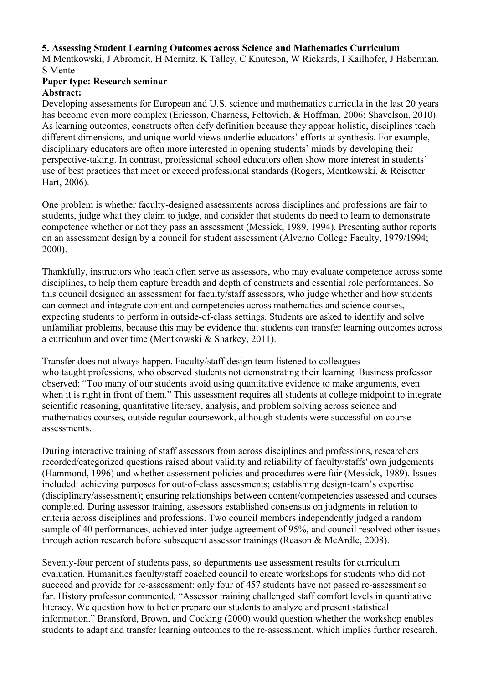### **5. Assessing Student Learning Outcomes across Science and Mathematics Curriculum**

M Mentkowski, J Abromeit, H Mernitz, K Talley, C Knuteson, W Rickards, I Kailhofer, J Haberman, S Mente

### **Paper type: Research seminar Abstract:**

Developing assessments for European and U.S. science and mathematics curricula in the last 20 years has become even more complex (Ericsson, Charness, Feltovich, & Hoffman, 2006; Shavelson, 2010). As learning outcomes, constructs often defy definition because they appear holistic, disciplines teach different dimensions, and unique world views underlie educators' efforts at synthesis. For example, disciplinary educators are often more interested in opening students' minds by developing their perspective-taking. In contrast, professional school educators often show more interest in students' use of best practices that meet or exceed professional standards (Rogers, Mentkowski, & Reisetter Hart, 2006).

One problem is whether faculty-designed assessments across disciplines and professions are fair to students, judge what they claim to judge, and consider that students do need to learn to demonstrate competence whether or not they pass an assessment (Messick, 1989, 1994). Presenting author reports on an assessment design by a council for student assessment (Alverno College Faculty, 1979/1994; 2000).

Thankfully, instructors who teach often serve as assessors, who may evaluate competence across some disciplines, to help them capture breadth and depth of constructs and essential role performances. So this council designed an assessment for faculty/staff assessors, who judge whether and how students can connect and integrate content and competencies across mathematics and science courses, expecting students to perform in outside-of-class settings. Students are asked to identify and solve unfamiliar problems, because this may be evidence that students can transfer learning outcomes across a curriculum and over time (Mentkowski & Sharkey, 2011).

Transfer does not always happen. Faculty/staff design team listened to colleagues who taught professions, who observed students not demonstrating their learning. Business professor observed: "Too many of our students avoid using quantitative evidence to make arguments, even when it is right in front of them." This assessment requires all students at college midpoint to integrate scientific reasoning, quantitative literacy, analysis, and problem solving across science and mathematics courses, outside regular coursework, although students were successful on course assessments.

During interactive training of staff assessors from across disciplines and professions, researchers recorded/categorized questions raised about validity and reliability of faculty/staffs' own judgements (Hammond, 1996) and whether assessment policies and procedures were fair (Messick, 1989). Issues included: achieving purposes for out-of-class assessments; establishing design-team's expertise (disciplinary/assessment); ensuring relationships between content/competencies assessed and courses completed. During assessor training, assessors established consensus on judgments in relation to criteria across disciplines and professions. Two council members independently judged a random sample of 40 performances, achieved inter-judge agreement of 95%, and council resolved other issues through action research before subsequent assessor trainings (Reason & McArdle, 2008).

Seventy-four percent of students pass, so departments use assessment results for curriculum evaluation. Humanities faculty/staff coached council to create workshops for students who did not succeed and provide for re-assessment: only four of 457 students have not passed re-assessment so far. History professor commented, "Assessor training challenged staff comfort levels in quantitative literacy. We question how to better prepare our students to analyze and present statistical information." Bransford, Brown, and Cocking (2000) would question whether the workshop enables students to adapt and transfer learning outcomes to the re-assessment, which implies further research.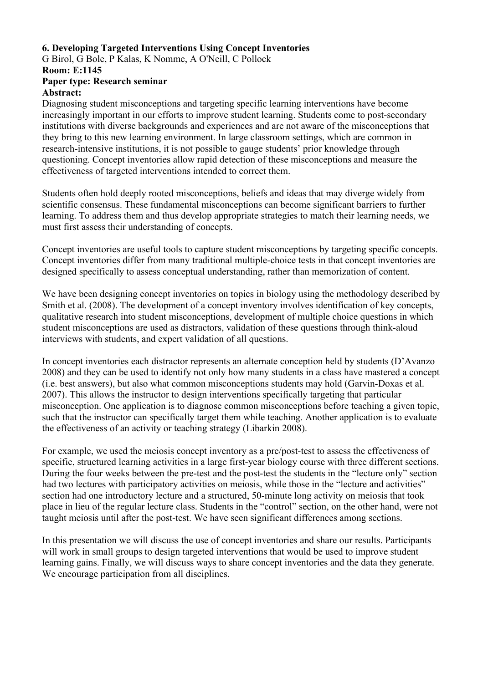### **6. Developing Targeted Interventions Using Concept Inventories**

G Birol, G Bole, P Kalas, K Nomme, A O'Neill, C Pollock

### **Room: E:1145**

#### **Paper type: Research seminar Abstract:**

Diagnosing student misconceptions and targeting specific learning interventions have become increasingly important in our efforts to improve student learning. Students come to post-secondary institutions with diverse backgrounds and experiences and are not aware of the misconceptions that they bring to this new learning environment. In large classroom settings, which are common in research-intensive institutions, it is not possible to gauge students' prior knowledge through questioning. Concept inventories allow rapid detection of these misconceptions and measure the effectiveness of targeted interventions intended to correct them.

Students often hold deeply rooted misconceptions, beliefs and ideas that may diverge widely from scientific consensus. These fundamental misconceptions can become significant barriers to further learning. To address them and thus develop appropriate strategies to match their learning needs, we must first assess their understanding of concepts.

Concept inventories are useful tools to capture student misconceptions by targeting specific concepts. Concept inventories differ from many traditional multiple-choice tests in that concept inventories are designed specifically to assess conceptual understanding, rather than memorization of content.

We have been designing concept inventories on topics in biology using the methodology described by Smith et al. (2008). The development of a concept inventory involves identification of key concepts, qualitative research into student misconceptions, development of multiple choice questions in which student misconceptions are used as distractors, validation of these questions through think-aloud interviews with students, and expert validation of all questions.

In concept inventories each distractor represents an alternate conception held by students (D'Avanzo 2008) and they can be used to identify not only how many students in a class have mastered a concept (i.e. best answers), but also what common misconceptions students may hold (Garvin-Doxas et al. 2007). This allows the instructor to design interventions specifically targeting that particular misconception. One application is to diagnose common misconceptions before teaching a given topic, such that the instructor can specifically target them while teaching. Another application is to evaluate the effectiveness of an activity or teaching strategy (Libarkin 2008).

For example, we used the meiosis concept inventory as a pre/post-test to assess the effectiveness of specific, structured learning activities in a large first-year biology course with three different sections. During the four weeks between the pre-test and the post-test the students in the "lecture only" section had two lectures with participatory activities on meiosis, while those in the "lecture and activities" section had one introductory lecture and a structured, 50-minute long activity on meiosis that took place in lieu of the regular lecture class. Students in the "control" section, on the other hand, were not taught meiosis until after the post-test. We have seen significant differences among sections.

In this presentation we will discuss the use of concept inventories and share our results. Participants will work in small groups to design targeted interventions that would be used to improve student learning gains. Finally, we will discuss ways to share concept inventories and the data they generate. We encourage participation from all disciplines.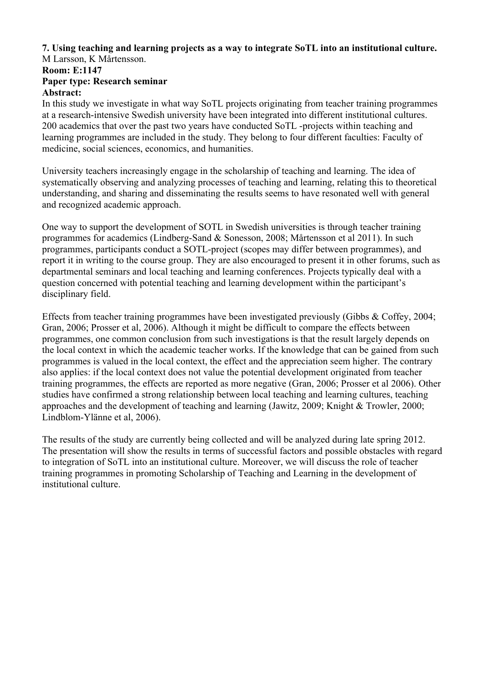### **7. Using teaching and learning projects as a way to integrate SoTL into an institutional culture.** M Larsson, K Mårtensson.

### **Room: E:1147 Paper type: Research seminar Abstract:**

In this study we investigate in what way SoTL projects originating from teacher training programmes at a research-intensive Swedish university have been integrated into different institutional cultures. 200 academics that over the past two years have conducted SoTL -projects within teaching and learning programmes are included in the study. They belong to four different faculties: Faculty of medicine, social sciences, economics, and humanities.

University teachers increasingly engage in the scholarship of teaching and learning. The idea of systematically observing and analyzing processes of teaching and learning, relating this to theoretical understanding, and sharing and disseminating the results seems to have resonated well with general and recognized academic approach.

One way to support the development of SOTL in Swedish universities is through teacher training programmes for academics (Lindberg-Sand & Sonesson, 2008; Mårtensson et al 2011). In such programmes, participants conduct a SOTL-project (scopes may differ between programmes), and report it in writing to the course group. They are also encouraged to present it in other forums, such as departmental seminars and local teaching and learning conferences. Projects typically deal with a question concerned with potential teaching and learning development within the participant's disciplinary field.

Effects from teacher training programmes have been investigated previously (Gibbs & Coffey, 2004; Gran, 2006; Prosser et al, 2006). Although it might be difficult to compare the effects between programmes, one common conclusion from such investigations is that the result largely depends on the local context in which the academic teacher works. If the knowledge that can be gained from such programmes is valued in the local context, the effect and the appreciation seem higher. The contrary also applies: if the local context does not value the potential development originated from teacher training programmes, the effects are reported as more negative (Gran, 2006; Prosser et al 2006). Other studies have confirmed a strong relationship between local teaching and learning cultures, teaching approaches and the development of teaching and learning (Jawitz, 2009; Knight & Trowler, 2000; Lindblom-Ylänne et al, 2006).

The results of the study are currently being collected and will be analyzed during late spring 2012. The presentation will show the results in terms of successful factors and possible obstacles with regard to integration of SoTL into an institutional culture. Moreover, we will discuss the role of teacher training programmes in promoting Scholarship of Teaching and Learning in the development of institutional culture.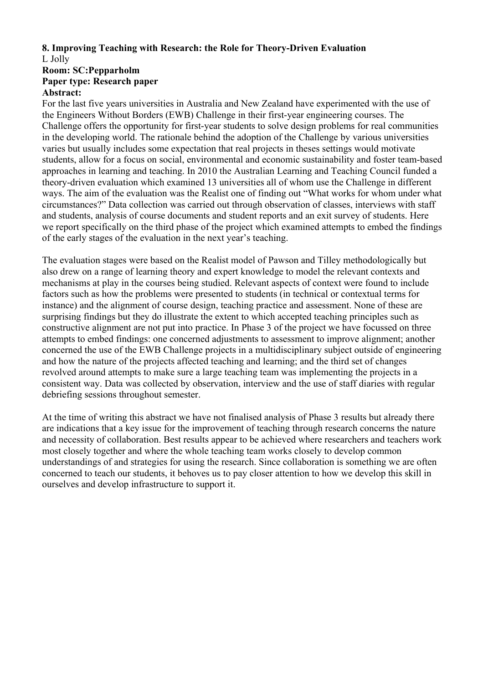### **8. Improving Teaching with Research: the Role for Theory-Driven Evaluation** L Jolly

#### **Room: SC:Pepparholm Paper type: Research paper Abstract:**

For the last five years universities in Australia and New Zealand have experimented with the use of the Engineers Without Borders (EWB) Challenge in their first-year engineering courses. The Challenge offers the opportunity for first-year students to solve design problems for real communities in the developing world. The rationale behind the adoption of the Challenge by various universities varies but usually includes some expectation that real projects in theses settings would motivate students, allow for a focus on social, environmental and economic sustainability and foster team-based approaches in learning and teaching. In 2010 the Australian Learning and Teaching Council funded a theory-driven evaluation which examined 13 universities all of whom use the Challenge in different ways. The aim of the evaluation was the Realist one of finding out "What works for whom under what circumstances?" Data collection was carried out through observation of classes, interviews with staff and students, analysis of course documents and student reports and an exit survey of students. Here we report specifically on the third phase of the project which examined attempts to embed the findings of the early stages of the evaluation in the next year's teaching.

The evaluation stages were based on the Realist model of Pawson and Tilley methodologically but also drew on a range of learning theory and expert knowledge to model the relevant contexts and mechanisms at play in the courses being studied. Relevant aspects of context were found to include factors such as how the problems were presented to students (in technical or contextual terms for instance) and the alignment of course design, teaching practice and assessment. None of these are surprising findings but they do illustrate the extent to which accepted teaching principles such as constructive alignment are not put into practice. In Phase 3 of the project we have focussed on three attempts to embed findings: one concerned adjustments to assessment to improve alignment; another concerned the use of the EWB Challenge projects in a multidisciplinary subject outside of engineering and how the nature of the projects affected teaching and learning; and the third set of changes revolved around attempts to make sure a large teaching team was implementing the projects in a consistent way. Data was collected by observation, interview and the use of staff diaries with regular debriefing sessions throughout semester.

At the time of writing this abstract we have not finalised analysis of Phase 3 results but already there are indications that a key issue for the improvement of teaching through research concerns the nature and necessity of collaboration. Best results appear to be achieved where researchers and teachers work most closely together and where the whole teaching team works closely to develop common understandings of and strategies for using the research. Since collaboration is something we are often concerned to teach our students, it behoves us to pay closer attention to how we develop this skill in ourselves and develop infrastructure to support it.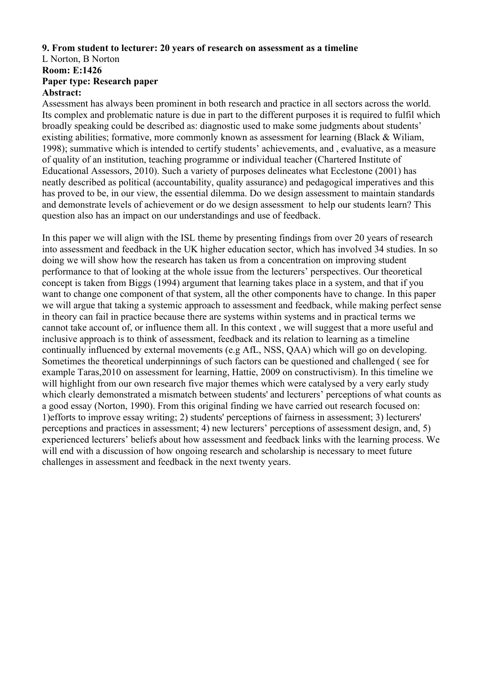### **9. From student to lecturer: 20 years of research on assessment as a timeline**

### L Norton, B Norton **Room: E:1426 Paper type: Research paper Abstract:**

Assessment has always been prominent in both research and practice in all sectors across the world. Its complex and problematic nature is due in part to the different purposes it is required to fulfil which broadly speaking could be described as: diagnostic used to make some judgments about students' existing abilities; formative, more commonly known as assessment for learning (Black & Wiliam, 1998); summative which is intended to certify students' achievements, and , evaluative, as a measure of quality of an institution, teaching programme or individual teacher (Chartered Institute of Educational Assessors, 2010). Such a variety of purposes delineates what Ecclestone (2001) has neatly described as political (accountability, quality assurance) and pedagogical imperatives and this has proved to be, in our view, the essential dilemma. Do we design assessment to maintain standards and demonstrate levels of achievement or do we design assessment to help our students learn? This question also has an impact on our understandings and use of feedback.

In this paper we will align with the ISL theme by presenting findings from over 20 years of research into assessment and feedback in the UK higher education sector, which has involved 34 studies. In so doing we will show how the research has taken us from a concentration on improving student performance to that of looking at the whole issue from the lecturers' perspectives. Our theoretical concept is taken from Biggs (1994) argument that learning takes place in a system, and that if you want to change one component of that system, all the other components have to change. In this paper we will argue that taking a systemic approach to assessment and feedback, while making perfect sense in theory can fail in practice because there are systems within systems and in practical terms we cannot take account of, or influence them all. In this context , we will suggest that a more useful and inclusive approach is to think of assessment, feedback and its relation to learning as a timeline continually influenced by external movements (e.g AfL, NSS, QAA) which will go on developing. Sometimes the theoretical underpinnings of such factors can be questioned and challenged ( see for example Taras,2010 on assessment for learning, Hattie, 2009 on constructivism). In this timeline we will highlight from our own research five major themes which were catalysed by a very early study which clearly demonstrated a mismatch between students' and lecturers' perceptions of what counts as a good essay (Norton, 1990). From this original finding we have carried out research focused on: 1)efforts to improve essay writing; 2) students' perceptions of fairness in assessment; 3) lecturers' perceptions and practices in assessment; 4) new lecturers' perceptions of assessment design, and, 5) experienced lecturers' beliefs about how assessment and feedback links with the learning process. We will end with a discussion of how ongoing research and scholarship is necessary to meet future challenges in assessment and feedback in the next twenty years.